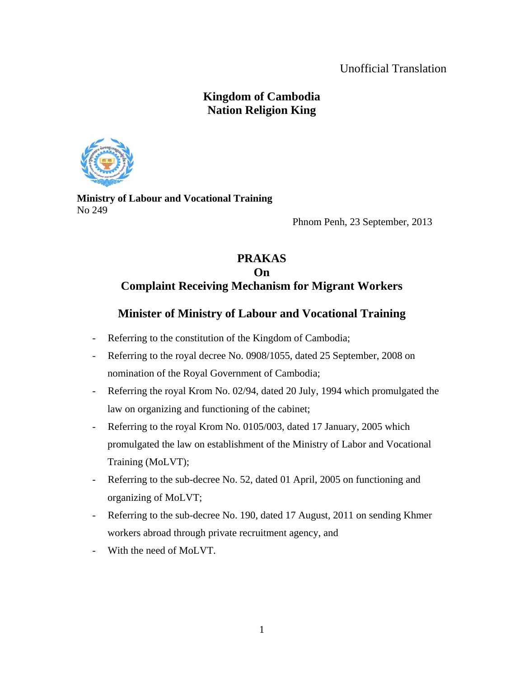## Unofficial Translation

# **Kingdom of Cambodia Nation Religion King**



**Ministry of Labour and Vocational Training**  No 249

Phnom Penh, 23 September, 2013

## **PRAKAS On Complaint Receiving Mechanism for Migrant Workers**

# **Minister of Ministry of Labour and Vocational Training**

- Referring to the constitution of the Kingdom of Cambodia;
- Referring to the royal decree No. 0908/1055, dated 25 September, 2008 on nomination of the Royal Government of Cambodia;
- Referring the royal Krom No. 02/94, dated 20 July, 1994 which promulgated the law on organizing and functioning of the cabinet;
- Referring to the royal Krom No. 0105/003, dated 17 January, 2005 which promulgated the law on establishment of the Ministry of Labor and Vocational Training (MoLVT);
- Referring to the sub-decree No. 52, dated 01 April, 2005 on functioning and organizing of MoLVT;
- Referring to the sub-decree No. 190, dated 17 August, 2011 on sending Khmer workers abroad through private recruitment agency, and
- With the need of MoLVT.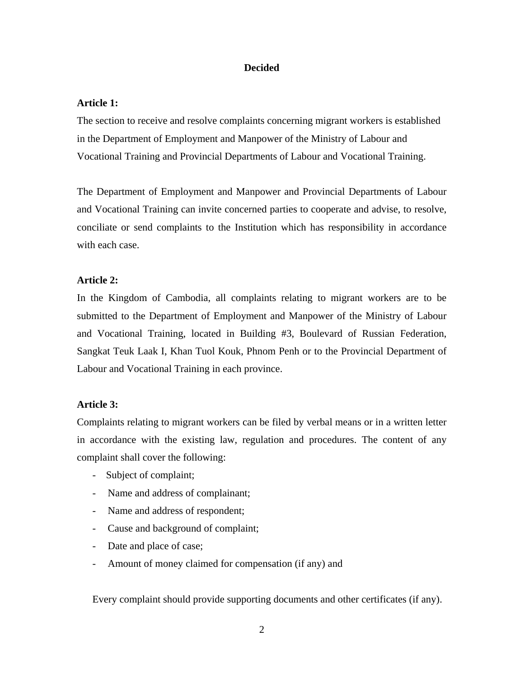## **Decided**

## **Article 1:**

The section to receive and resolve complaints concerning migrant workers is established in the Department of Employment and Manpower of the Ministry of Labour and Vocational Training and Provincial Departments of Labour and Vocational Training.

The Department of Employment and Manpower and Provincial Departments of Labour and Vocational Training can invite concerned parties to cooperate and advise, to resolve, conciliate or send complaints to the Institution which has responsibility in accordance with each case.

## **Article 2:**

In the Kingdom of Cambodia, all complaints relating to migrant workers are to be submitted to the Department of Employment and Manpower of the Ministry of Labour and Vocational Training, located in Building #3, Boulevard of Russian Federation, Sangkat Teuk Laak I, Khan Tuol Kouk, Phnom Penh or to the Provincial Department of Labour and Vocational Training in each province.

## **Article 3:**

Complaints relating to migrant workers can be filed by verbal means or in a written letter in accordance with the existing law, regulation and procedures. The content of any complaint shall cover the following:

- Subject of complaint;
- Name and address of complainant;
- Name and address of respondent;
- Cause and background of complaint;
- Date and place of case;
- Amount of money claimed for compensation (if any) and

Every complaint should provide supporting documents and other certificates (if any).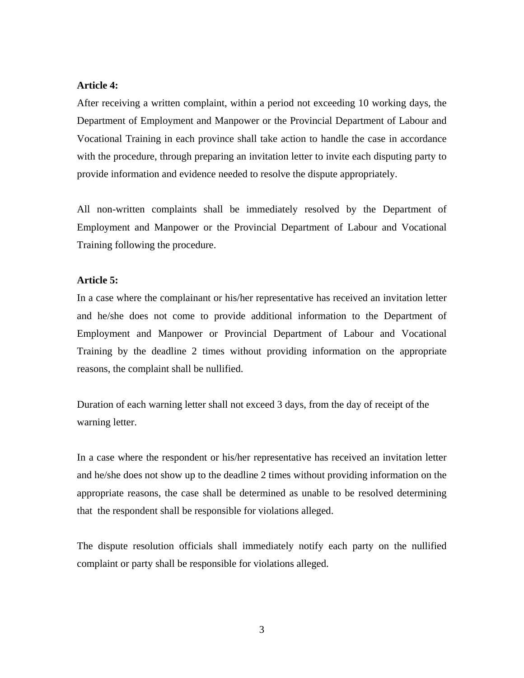#### **Article 4:**

After receiving a written complaint, within a period not exceeding 10 working days, the Department of Employment and Manpower or the Provincial Department of Labour and Vocational Training in each province shall take action to handle the case in accordance with the procedure, through preparing an invitation letter to invite each disputing party to provide information and evidence needed to resolve the dispute appropriately.

All non-written complaints shall be immediately resolved by the Department of Employment and Manpower or the Provincial Department of Labour and Vocational Training following the procedure.

#### **Article 5:**

In a case where the complainant or his/her representative has received an invitation letter and he/she does not come to provide additional information to the Department of Employment and Manpower or Provincial Department of Labour and Vocational Training by the deadline 2 times without providing information on the appropriate reasons, the complaint shall be nullified.

Duration of each warning letter shall not exceed 3 days, from the day of receipt of the warning letter.

In a case where the respondent or his/her representative has received an invitation letter and he/she does not show up to the deadline 2 times without providing information on the appropriate reasons, the case shall be determined as unable to be resolved determining that the respondent shall be responsible for violations alleged.

The dispute resolution officials shall immediately notify each party on the nullified complaint or party shall be responsible for violations alleged.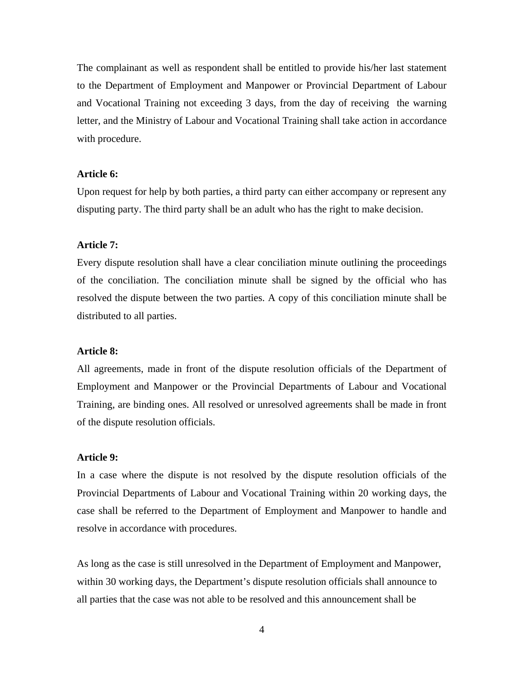The complainant as well as respondent shall be entitled to provide his/her last statement to the Department of Employment and Manpower or Provincial Department of Labour and Vocational Training not exceeding 3 days, from the day of receiving the warning letter, and the Ministry of Labour and Vocational Training shall take action in accordance with procedure.

## **Article 6:**

Upon request for help by both parties, a third party can either accompany or represent any disputing party. The third party shall be an adult who has the right to make decision.

## **Article 7:**

Every dispute resolution shall have a clear conciliation minute outlining the proceedings of the conciliation. The conciliation minute shall be signed by the official who has resolved the dispute between the two parties. A copy of this conciliation minute shall be distributed to all parties.

#### **Article 8:**

All agreements, made in front of the dispute resolution officials of the Department of Employment and Manpower or the Provincial Departments of Labour and Vocational Training, are binding ones. All resolved or unresolved agreements shall be made in front of the dispute resolution officials.

## **Article 9:**

In a case where the dispute is not resolved by the dispute resolution officials of the Provincial Departments of Labour and Vocational Training within 20 working days, the case shall be referred to the Department of Employment and Manpower to handle and resolve in accordance with procedures.

As long as the case is still unresolved in the Department of Employment and Manpower, within 30 working days, the Department's dispute resolution officials shall announce to all parties that the case was not able to be resolved and this announcement shall be

4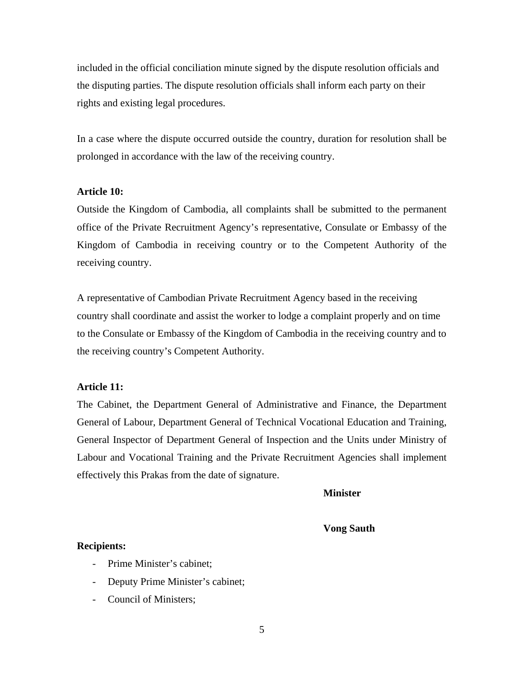included in the official conciliation minute signed by the dispute resolution officials and the disputing parties. The dispute resolution officials shall inform each party on their rights and existing legal procedures.

In a case where the dispute occurred outside the country, duration for resolution shall be prolonged in accordance with the law of the receiving country.

#### **Article 10:**

Outside the Kingdom of Cambodia, all complaints shall be submitted to the permanent office of the Private Recruitment Agency's representative, Consulate or Embassy of the Kingdom of Cambodia in receiving country or to the Competent Authority of the receiving country.

A representative of Cambodian Private Recruitment Agency based in the receiving country shall coordinate and assist the worker to lodge a complaint properly and on time to the Consulate or Embassy of the Kingdom of Cambodia in the receiving country and to the receiving country's Competent Authority.

## **Article 11:**

The Cabinet, the Department General of Administrative and Finance, the Department General of Labour, Department General of Technical Vocational Education and Training, General Inspector of Department General of Inspection and the Units under Ministry of Labour and Vocational Training and the Private Recruitment Agencies shall implement effectively this Prakas from the date of signature.

**Minister** 

## **Vong Sauth**

#### **Recipients:**

- Prime Minister's cabinet:
- Deputy Prime Minister's cabinet;
- Council of Ministers;